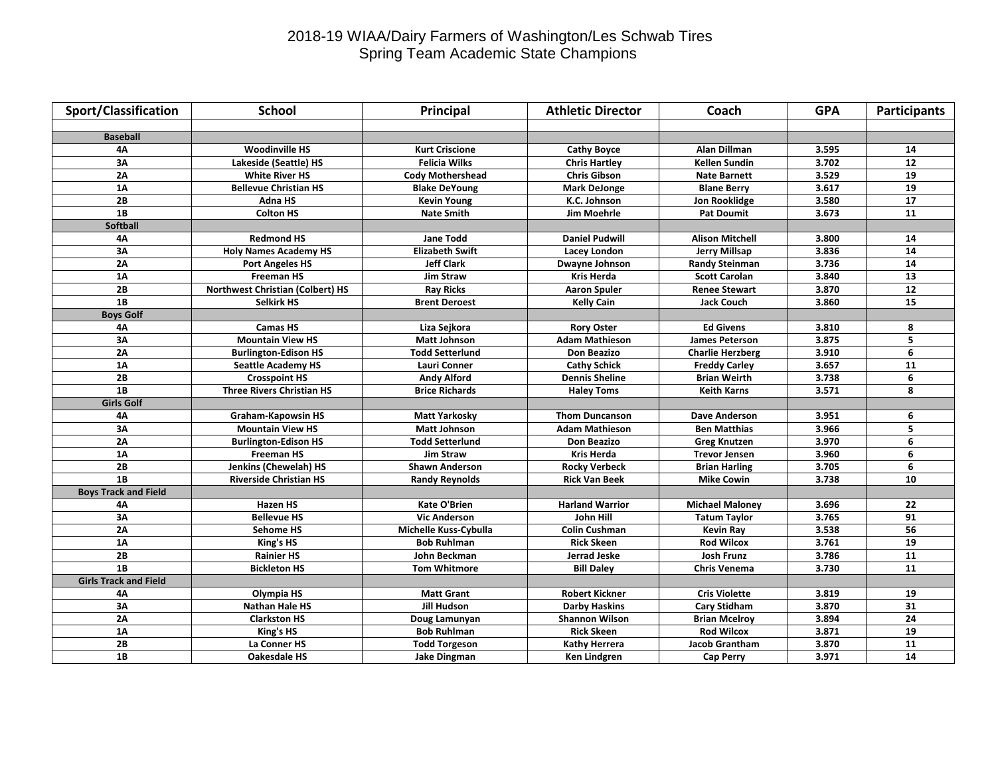## 2018-19 WIAA/Dairy Farmers of Washington/Les Schwab Tires Spring Team Academic State Champions

| Sport/Classification         | <b>School</b>                    | Principal               | <b>Athletic Director</b> | Coach                   | <b>GPA</b> | <b>Participants</b> |
|------------------------------|----------------------------------|-------------------------|--------------------------|-------------------------|------------|---------------------|
|                              |                                  |                         |                          |                         |            |                     |
| <b>Baseball</b>              |                                  |                         |                          |                         |            |                     |
| 4Α                           | <b>Woodinville HS</b>            | Kurt Criscione          | <b>Cathy Boyce</b>       | Alan Dillman            | 3.595      | 14                  |
| 3A                           | Lakeside (Seattle) HS            | <b>Felicia Wilks</b>    | <b>Chris Hartley</b>     | Kellen Sundin           | 3.702      | 12                  |
| 2A                           | <b>White River HS</b>            | <b>Cody Mothershead</b> | <b>Chris Gibson</b>      | <b>Nate Barnett</b>     | 3.529      | 19                  |
| 1A                           | <b>Bellevue Christian HS</b>     | <b>Blake DeYoung</b>    | <b>Mark DeJonge</b>      | <b>Blane Berry</b>      | 3.617      | 19                  |
| 2B                           | Adna HS                          | Kevin Young             | K.C. Johnson             | Jon Rooklidge           | 3.580      | 17                  |
| 1B                           | <b>Colton HS</b>                 | <b>Nate Smith</b>       | <b>Jim Moehrle</b>       | <b>Pat Doumit</b>       | 3.673      | 11                  |
| <b>Softball</b>              |                                  |                         |                          |                         |            |                     |
| 4A                           | <b>Redmond HS</b>                | Jane Todd               | <b>Daniel Pudwill</b>    | Alison Mitchell         | 3.800      | 14                  |
| 3A                           | <b>Holy Names Academy HS</b>     | <b>Elizabeth Swift</b>  | Lacey London             | Jerry Millsap           | 3.836      | 14                  |
| 2A                           | <b>Port Angeles HS</b>           | <b>Jeff Clark</b>       | Dwayne Johnson           | <b>Randy Steinman</b>   | 3.736      | ${\bf 14}$          |
| 1A                           | <b>Freeman HS</b>                | Jim Straw               | <b>Kris Herda</b>        | <b>Scott Carolan</b>    | 3.840      | 13                  |
| 2B                           | Northwest Christian (Colbert) HS | <b>Ray Ricks</b>        | <b>Aaron Spuler</b>      | <b>Renee Stewart</b>    | 3.870      | 12                  |
| 1B                           | <b>Selkirk HS</b>                | <b>Brent Deroest</b>    | <b>Kelly Cain</b>        | <b>Jack Couch</b>       | 3.860      | 15                  |
| <b>Boys Golf</b>             |                                  |                         |                          |                         |            |                     |
| 4A                           | <b>Camas HS</b>                  | Liza Sejkora            | <b>Rory Oster</b>        | <b>Ed Givens</b>        | 3.810      | 8                   |
| 3A                           | <b>Mountain View HS</b>          | <b>Matt Johnson</b>     | <b>Adam Mathieson</b>    | <b>James Peterson</b>   | 3.875      | 5                   |
| 2A                           | <b>Burlington-Edison HS</b>      | <b>Todd Setterlund</b>  | Don Beazizo              | <b>Charlie Herzberg</b> | 3.910      | 6                   |
| 1A                           | <b>Seattle Academy HS</b>        | Lauri Conner            | <b>Cathy Schick</b>      | <b>Freddy Carley</b>    | 3.657      | 11                  |
| 2B                           | <b>Crosspoint HS</b>             | <b>Andy Alford</b>      | <b>Dennis Sheline</b>    | <b>Brian Weirth</b>     | 3.738      | 6                   |
| 1B                           | <b>Three Rivers Christian HS</b> | <b>Brice Richards</b>   | <b>Haley Toms</b>        | <b>Keith Karns</b>      | 3.571      | 8                   |
| <b>Girls Golf</b>            |                                  |                         |                          |                         |            |                     |
| 4A                           | Graham-Kapowsin HS               | <b>Matt Yarkosky</b>    | <b>Thom Duncanson</b>    | <b>Dave Anderson</b>    | 3.951      | 6                   |
| 3A                           | <b>Mountain View HS</b>          | <b>Matt Johnson</b>     | <b>Adam Mathieson</b>    | <b>Ben Matthias</b>     | 3.966      | 5                   |
| 2A                           | <b>Burlington-Edison HS</b>      | <b>Todd Setterlund</b>  | Don Beazizo              | <b>Greg Knutzen</b>     | 3.970      | 6                   |
| 1A                           | <b>Freeman HS</b>                | <b>Jim Straw</b>        | <b>Kris Herda</b>        | <b>Trevor Jensen</b>    | 3.960      | 6                   |
| 2B                           | Jenkins (Chewelah) HS            | <b>Shawn Anderson</b>   | <b>Rocky Verbeck</b>     | <b>Brian Harling</b>    | 3.705      | 6                   |
| 1B                           | <b>Riverside Christian HS</b>    | <b>Randy Reynolds</b>   | <b>Rick Van Beek</b>     | <b>Mike Cowin</b>       | 3.738      | 10                  |
| <b>Boys Track and Field</b>  |                                  |                         |                          |                         |            |                     |
| 4Α                           | <b>Hazen HS</b>                  | Kate O'Brien            | <b>Harland Warrior</b>   | <b>Michael Maloney</b>  | 3.696      | 22                  |
| 3A                           | <b>Bellevue HS</b>               | <b>Vic Anderson</b>     | John Hill                | <b>Tatum Taylor</b>     | 3.765      | 91                  |
| 2A                           | Sehome HS                        | Michelle Kuss-Cybulla   | <b>Colin Cushman</b>     | <b>Kevin Rav</b>        | 3.538      | 56                  |
| 1A                           | King's HS                        | <b>Bob Ruhlman</b>      | <b>Rick Skeen</b>        | <b>Rod Wilcox</b>       | 3.761      | 19                  |
| 2B                           | <b>Rainier HS</b>                | John Beckman            | Jerrad Jeske             | Josh Frunz              | 3.786      | 11                  |
| 1B                           | <b>Bickleton HS</b>              | <b>Tom Whitmore</b>     | <b>Bill Daley</b>        | <b>Chris Venema</b>     | 3.730      | $\overline{11}$     |
| <b>Girls Track and Field</b> |                                  |                         |                          |                         |            |                     |
| 4A                           | Olympia HS                       | <b>Matt Grant</b>       | <b>Robert Kickner</b>    | <b>Cris Violette</b>    | 3.819      | 19                  |
| 3A                           | <b>Nathan Hale HS</b>            | <b>Jill Hudson</b>      | <b>Darby Haskins</b>     | <b>Cary Stidham</b>     | 3.870      | $\overline{31}$     |
| 2A                           | <b>Clarkston HS</b>              | Doug Lamunyan           | <b>Shannon Wilson</b>    | <b>Brian Mcelroy</b>    | 3.894      | $\overline{24}$     |
| 1A                           | King's HS                        | <b>Bob Ruhlman</b>      | <b>Rick Skeen</b>        | <b>Rod Wilcox</b>       | 3.871      | 19                  |
| 2B                           | La Conner HS                     | <b>Todd Torgeson</b>    | Kathy Herrera            | <b>Jacob Grantham</b>   | 3.870      | 11                  |
| 1B                           | <b>Oakesdale HS</b>              | <b>Jake Dingman</b>     | Ken Lindgren             | <b>Cap Perry</b>        | 3.971      | 14                  |
|                              |                                  |                         |                          |                         |            |                     |